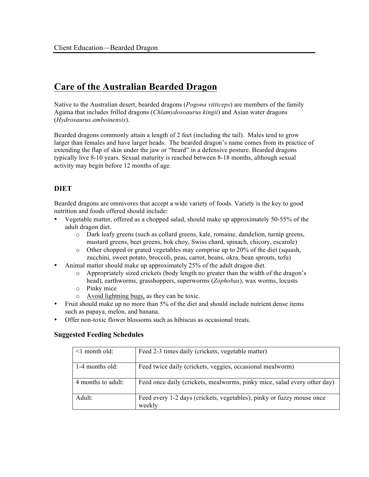# **Care of the Australian Bearded Dragon**

Native to the Australian desert, bearded dragons (*Pogona vitticeps*) are members of the family Agama that includes frilled dragons (*Chlamydosoaurus kingii*) and Asian water dragons (*Hydrosaurus amboinensis*).

Bearded dragons commonly attain a length of 2 feet (including the tail). Males tend to grow larger than females and have larger heads. The bearded dragon's name comes from its practice of extending the flap of skin under the jaw or "beard" in a defensive posture. Bearded dragons typically live 8-10 years. Sexual maturity is reached between 8-18 months, although sexual activity may begin before 12 months of age.

# **DIET**

Bearded dragons are omnivores that accept a wide variety of foods. Variety is the key to good nutrition and foods offered should include:

- Vegetable matter, offered as a chopped salad, should make up approximately 50-55% of the adult dragon diet.
	- o Dark leafy greens (such as collard greens, kale, romaine, dandelion, turnip greens, mustard greens, beet greens, bok choy, Swiss chard, spinach, chicory, escarole)
	- o Other chopped or grated vegetables may comprise up to 20% of the diet (squash, zucchini, sweet potato, broccoli, peas, carrot, beans, okra, bean sprouts, tofu)
- Animal matter should make up approximately 25% of the adult dragon diet.
	- o Appropriately sized crickets (body length no greater than the width of the dragon's head), earthworms, grasshoppers, superworms (*Zophobas*), wax worms, locusts
	- o Pinky mice
	- o Avoid lightning bugs, as they can be toxic.
- Fruit should make up no more than 5% of the diet and should include nutrient dense items such as papaya, melon, and banana.
- Offer non-toxic flower blossoms such as hibiscus as occasional treats.

#### **Suggested Feeding Schedules**

| $\leq$ 1 month old: | Feed 2-3 times daily (crickets, vegetable matter)                               |
|---------------------|---------------------------------------------------------------------------------|
| $1-4$ months old:   | Feed twice daily (crickets, veggies, occasional mealworm)                       |
| 4 months to adult:  | Feed once daily (crickets, mealworms, pinky mice, salad every other day)        |
| Adult:              | Feed every 1-2 days (crickets, vegetables); pinky or fuzzy mouse once<br>weekly |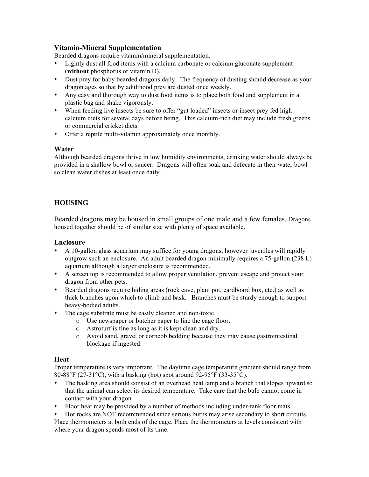## **Vitamin-Mineral Supplementation**

Bearded dragons require vitamin/mineral supplementation.

- Lightly dust all food items with a calcium carbonate or calcium gluconate supplement (**without** phosphorus or vitamin D).
- Dust prey for baby bearded dragons daily. The frequency of dusting should decrease as your dragon ages so that by adulthood prey are dusted once weekly.
- Any easy and thorough way to dust food items is to place both food and supplement in a plastic bag and shake vigorously.
- When feeding live insects be sure to offer "gut loaded" insects or insect prey fed high calcium diets for several days before being. This calcium-rich diet may include fresh greens or commercial cricket diets.
- Offer a reptile multi-vitamin approximately once monthly.

#### **Water**

Although bearded dragons thrive in low humidity environments, drinking water should always be provided in a shallow bowl or saucer. Dragons will often soak and defecate in their water bowl so clean water dishes at least once daily.

## **HOUSING**

Bearded dragons may be housed in small groups of one male and a few females. Dragons housed together should be of similar size with plenty of space available.

#### **Enclosure**

- A 10-gallon glass aquarium may suffice for young dragons, however juveniles will rapidly outgrow such an enclosure. An adult bearded dragon minimally requires a 75-gallon (238 L) aquarium although a larger enclosure is recommended.
- A screen top is recommended to allow proper ventilation, prevent escape and protect your dragon from other pets.
- Bearded dragons require hiding areas (rock cave, plant pot, cardboard box, etc.) as well as thick branches upon which to climb and bask. Branches must be sturdy enough to support heavy-bodied adults.
- The cage substrate must be easily cleaned and non-toxic.
	- o Use newspaper or butcher paper to line the cage floor.
	- o Astroturf is fine as long as it is kept clean and dry.
	- o Avoid sand, gravel or corncob bedding because they may cause gastrointestinal blockage if ingested.

#### **Heat**

Proper temperature is very important. The daytime cage temperature gradient should range from 80-88°F (27-31°C), with a basking (hot) spot around 92-95°F (33-35°C).

- The basking area should consist of an overhead heat lamp and a branch that slopes upward so that the animal can select its desired temperature. Take care that the bulb cannot come in contact with your dragon.
- Floor heat may be provided by a number of methods including under-tank floor mats.

• Hot rocks are NOT recommended since serious burns may arise secondary to short circuits. Place thermometers at both ends of the cage. Place the thermometers at levels consistent with where your dragon spends most of its time.